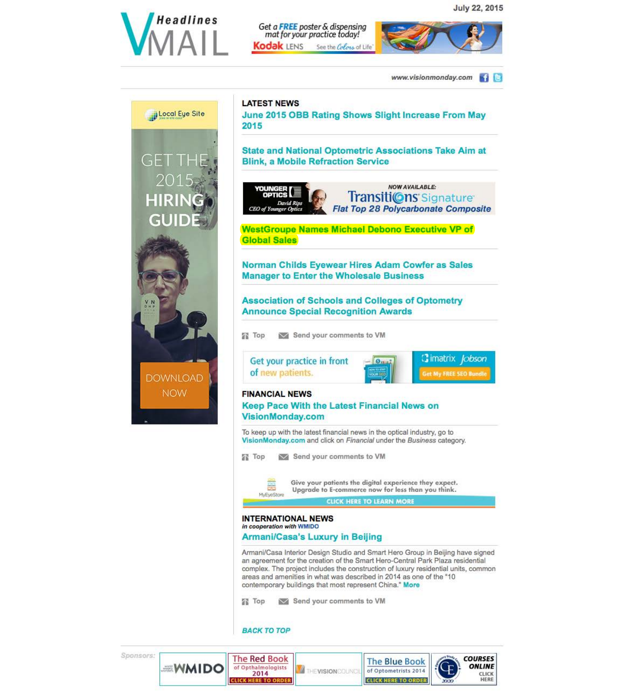

Get a FREE poster & dispensing mat for your practice today! Kodak LENS See the Colors of Life'



www.visionmonday.com  $\blacksquare$ 





<sup>~</sup>imatrix *Jobson* 

Get My FREE SEO Bundle



Upgrade to E-commerce now for less than you think.

#### CLICK HERE TO LEARN MORE

# INTERNATIONAL NEWS

In cooperation with WMIDO

# Armani/Casa's Luxury in Beijing

Armani/Casa Interior Design Studio and Smart Hero Group in Beijing have signed an agreement for the creation of the Smart Hero-Central Park Plaza residential complex. The project includes the construction of luxury residential units, common areas and amenities in what was described in 2014 as one of the "10" contemporary buildings that most represent China." More

Top in Send your comments to VM

BACK TO TOP